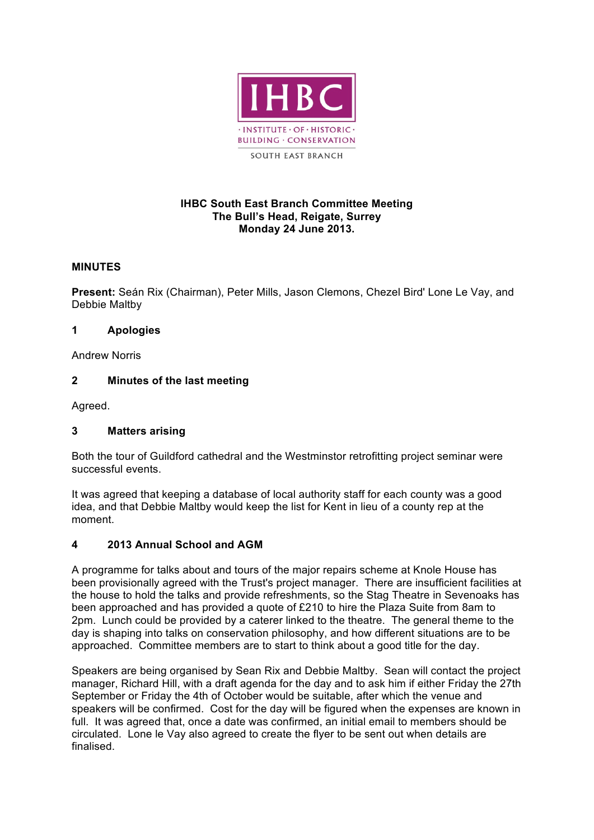

#### **IHBC South East Branch Committee Meeting The Bull's Head, Reigate, Surrey Monday 24 June 2013.**

## **MINUTES**

**Present:** Seán Rix (Chairman), Peter Mills, Jason Clemons, Chezel Bird' Lone Le Vay, and Debbie Maltby

#### **1 Apologies**

Andrew Norris

## **2 Minutes of the last meeting**

Agreed.

## **3 Matters arising**

Both the tour of Guildford cathedral and the Westminstor retrofitting project seminar were successful events.

It was agreed that keeping a database of local authority staff for each county was a good idea, and that Debbie Maltby would keep the list for Kent in lieu of a county rep at the moment.

## **4 2013 Annual School and AGM**

A programme for talks about and tours of the major repairs scheme at Knole House has been provisionally agreed with the Trust's project manager. There are insufficient facilities at the house to hold the talks and provide refreshments, so the Stag Theatre in Sevenoaks has been approached and has provided a quote of £210 to hire the Plaza Suite from 8am to 2pm. Lunch could be provided by a caterer linked to the theatre. The general theme to the day is shaping into talks on conservation philosophy, and how different situations are to be approached. Committee members are to start to think about a good title for the day.

Speakers are being organised by Sean Rix and Debbie Maltby. Sean will contact the project manager, Richard Hill, with a draft agenda for the day and to ask him if either Friday the 27th September or Friday the 4th of October would be suitable, after which the venue and speakers will be confirmed. Cost for the day will be figured when the expenses are known in full. It was agreed that, once a date was confirmed, an initial email to members should be circulated. Lone le Vay also agreed to create the flyer to be sent out when details are finalised.